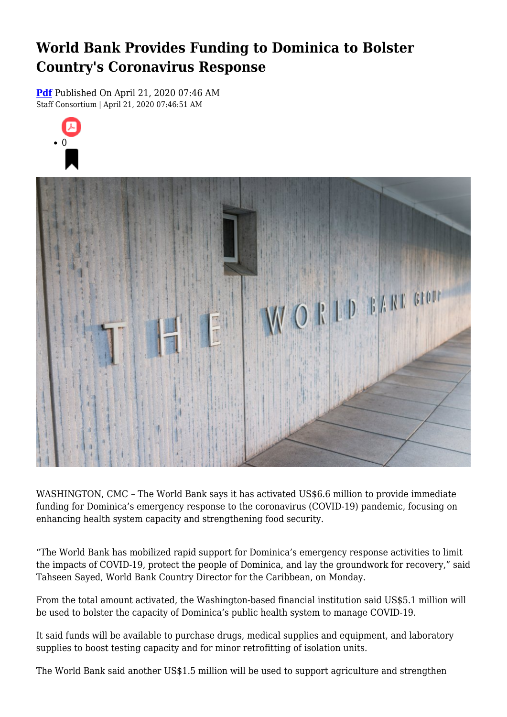## **World Bank Provides Funding to Dominica to Bolster Country's Coronavirus Response**

**[Pdf](https://viconsortium.com/caribbean-pdf)** Published On April 21, 2020 07:46 AM Staff Consortium | April 21, 2020 07:46:51 AM





WASHINGTON, CMC – The World Bank says it has activated US\$6.6 million to provide immediate funding for Dominica's emergency response to the coronavirus (COVID-19) pandemic, focusing on enhancing health system capacity and strengthening food security.

"The World Bank has mobilized rapid support for Dominica's emergency response activities to limit the impacts of COVID-19, protect the people of Dominica, and lay the groundwork for recovery," said Tahseen Sayed, World Bank Country Director for the Caribbean, on Monday.

From the total amount activated, the Washington-based financial institution said US\$5.1 million will be used to bolster the capacity of Dominica's public health system to manage COVID-19.

It said funds will be available to purchase drugs, medical supplies and equipment, and laboratory supplies to boost testing capacity and for minor retrofitting of isolation units.

The World Bank said another US\$1.5 million will be used to support agriculture and strengthen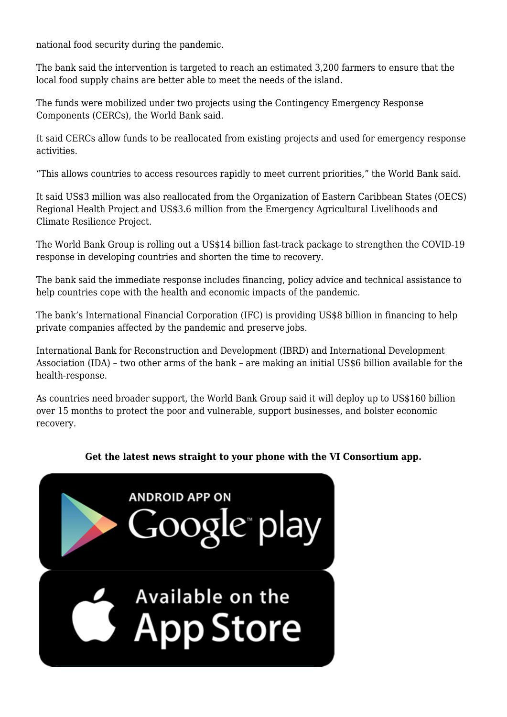national food security during the pandemic.

The bank said the intervention is targeted to reach an estimated 3,200 farmers to ensure that the local food supply chains are better able to meet the needs of the island.

The funds were mobilized under two projects using the Contingency Emergency Response Components (CERCs), the World Bank said.

It said CERCs allow funds to be reallocated from existing projects and used for emergency response activities.

"This allows countries to access resources rapidly to meet current priorities," the World Bank said.

It said US\$3 million was also reallocated from the Organization of Eastern Caribbean States (OECS) Regional Health Project and US\$3.6 million from the Emergency Agricultural Livelihoods and Climate Resilience Project.

The World Bank Group is rolling out a US\$14 billion fast-track package to strengthen the COVID-19 response in developing countries and shorten the time to recovery.

The bank said the immediate response includes financing, policy advice and technical assistance to help countries cope with the health and economic impacts of the pandemic.

The bank's International Financial Corporation (IFC) is providing US\$8 billion in financing to help private companies affected by the pandemic and preserve jobs.

International Bank for Reconstruction and Development (IBRD) and International Development Association (IDA) – two other arms of the bank – are making an initial US\$6 billion available for the health-response.

As countries need broader support, the World Bank Group said it will deploy up to US\$160 billion over 15 months to protect the poor and vulnerable, support businesses, and bolster economic recovery.

## **Get the latest news straight to your phone with the VI Consortium app.**